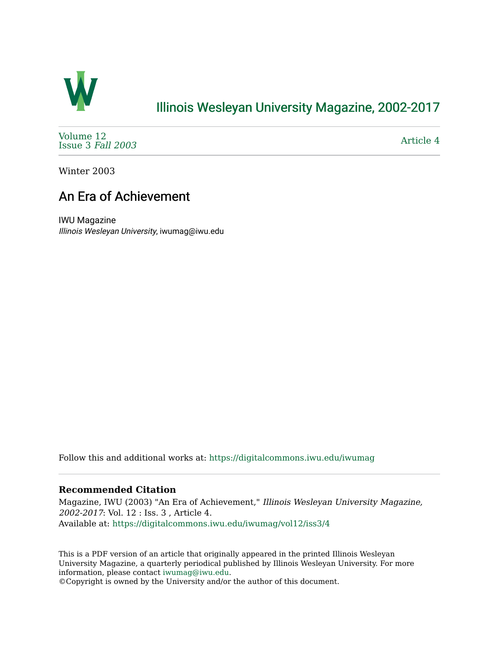

## [Illinois Wesleyan University Magazine, 2002-2017](https://digitalcommons.iwu.edu/iwumag)

[Volume 12](https://digitalcommons.iwu.edu/iwumag/vol12)  [Issue 3](https://digitalcommons.iwu.edu/iwumag/vol12/iss3) Fall 2003

[Article 4](https://digitalcommons.iwu.edu/iwumag/vol12/iss3/4) 

Winter 2003

## An Era of Achievement

IWU Magazine Illinois Wesleyan University, iwumag@iwu.edu

Follow this and additional works at: [https://digitalcommons.iwu.edu/iwumag](https://digitalcommons.iwu.edu/iwumag?utm_source=digitalcommons.iwu.edu%2Fiwumag%2Fvol12%2Fiss3%2F4&utm_medium=PDF&utm_campaign=PDFCoverPages) 

## **Recommended Citation**

Magazine, IWU (2003) "An Era of Achievement," Illinois Wesleyan University Magazine, 2002-2017: Vol. 12 : Iss. 3 , Article 4. Available at: [https://digitalcommons.iwu.edu/iwumag/vol12/iss3/4](https://digitalcommons.iwu.edu/iwumag/vol12/iss3/4?utm_source=digitalcommons.iwu.edu%2Fiwumag%2Fvol12%2Fiss3%2F4&utm_medium=PDF&utm_campaign=PDFCoverPages)

This is a PDF version of an article that originally appeared in the printed Illinois Wesleyan University Magazine, a quarterly periodical published by Illinois Wesleyan University. For more information, please contact [iwumag@iwu.edu](mailto:iwumag@iwu.edu).

©Copyright is owned by the University and/or the author of this document.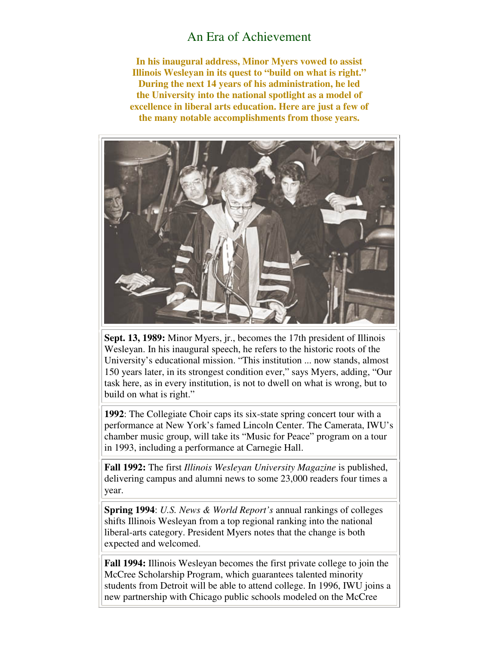## An Era of Achievement

**In his inaugural address, Minor Myers vowed to assist Illinois Wesleyan in its quest to "build on what is right." During the next 14 years of his administration, he led the University into the national spotlight as a model of excellence in liberal arts education. Here are just a few of the many notable accomplishments from those years.** 



**Sept. 13, 1989:** Minor Myers, jr., becomes the 17th president of Illinois Wesleyan. In his inaugural speech, he refers to the historic roots of the University's educational mission. "This institution ... now stands, almost 150 years later, in its strongest condition ever," says Myers, adding, "Our task here, as in every institution, is not to dwell on what is wrong, but to build on what is right."

**1992**: The Collegiate Choir caps its six-state spring concert tour with a performance at New York's famed Lincoln Center. The Camerata, IWU's chamber music group, will take its "Music for Peace" program on a tour in 1993, including a performance at Carnegie Hall.

**Fall 1992:** The first *Illinois Wesleyan University Magazine* is published, delivering campus and alumni news to some 23,000 readers four times a year.

**Spring 1994**: *U.S. News & World Report's* annual rankings of colleges shifts Illinois Wesleyan from a top regional ranking into the national liberal-arts category. President Myers notes that the change is both expected and welcomed.

**Fall 1994:** Illinois Wesleyan becomes the first private college to join the McCree Scholarship Program, which guarantees talented minority students from Detroit will be able to attend college. In 1996, IWU joins a new partnership with Chicago public schools modeled on the McCree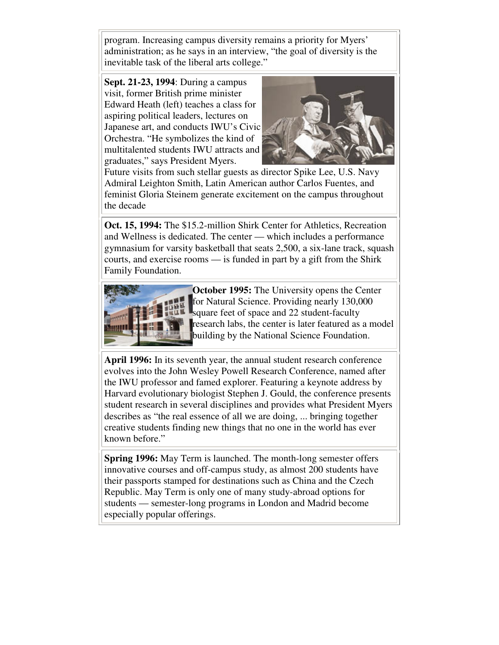program. Increasing campus diversity remains a priority for Myers' administration; as he says in an interview, "the goal of diversity is the inevitable task of the liberal arts college."

**Sept. 21-23, 1994**: During a campus visit, former British prime minister Edward Heath (left) teaches a class for aspiring political leaders, lectures on Japanese art, and conducts IWU's Civic Orchestra. "He symbolizes the kind of multitalented students IWU attracts and graduates," says President Myers.



Future visits from such stellar guests as director Spike Lee, U.S. Navy Admiral Leighton Smith, Latin American author Carlos Fuentes, and feminist Gloria Steinem generate excitement on the campus throughout the decade

**Oct. 15, 1994:** The \$15.2-million Shirk Center for Athletics, Recreation and Wellness is dedicated. The center — which includes a performance gymnasium for varsity basketball that seats 2,500, a six-lane track, squash courts, and exercise rooms — is funded in part by a gift from the Shirk Family Foundation.



**October 1995:** The University opens the Center for Natural Science. Providing nearly 130,000 square feet of space and 22 student-faculty research labs, the center is later featured as a model building by the National Science Foundation.

**April 1996:** In its seventh year, the annual student research conference evolves into the John Wesley Powell Research Conference, named after the IWU professor and famed explorer. Featuring a keynote address by Harvard evolutionary biologist Stephen J. Gould, the conference presents student research in several disciplines and provides what President Myers describes as "the real essence of all we are doing, ... bringing together creative students finding new things that no one in the world has ever known before."

**Spring 1996:** May Term is launched. The month-long semester offers innovative courses and off-campus study, as almost 200 students have their passports stamped for destinations such as China and the Czech Republic. May Term is only one of many study-abroad options for students — semester-long programs in London and Madrid become especially popular offerings.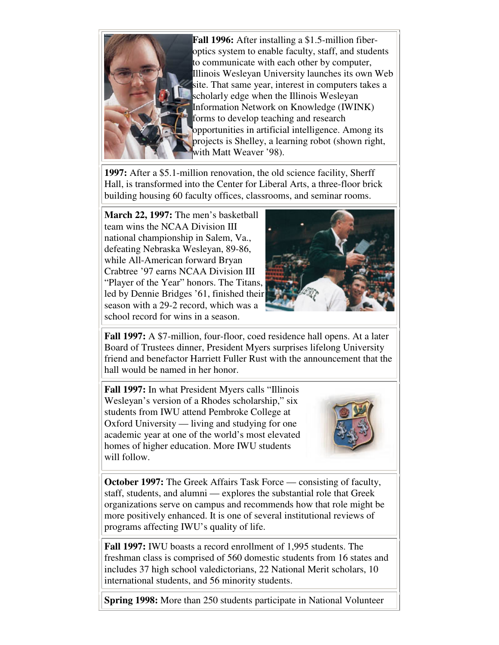

**Fall 1996:** After installing a \$1.5-million fiberoptics system to enable faculty, staff, and students to communicate with each other by computer, Illinois Wesleyan University launches its own Web site. That same year, interest in computers takes a scholarly edge when the Illinois Wesleyan Information Network on Knowledge (IWINK) forms to develop teaching and research opportunities in artificial intelligence. Among its projects is Shelley, a learning robot (shown right, with Matt Weaver '98).

**1997:** After a \$5.1-million renovation, the old science facility, Sherff Hall, is transformed into the Center for Liberal Arts, a three-floor brick building housing 60 faculty offices, classrooms, and seminar rooms.

**March 22, 1997:** The men's basketball team wins the NCAA Division III national championship in Salem, Va., defeating Nebraska Wesleyan, 89-86, while All-American forward Bryan Crabtree '97 earns NCAA Division III "Player of the Year" honors. The Titans, led by Dennie Bridges '61, finished their season with a 29-2 record, which was a school record for wins in a season.



**Fall 1997:** A \$7-million, four-floor, coed residence hall opens. At a later Board of Trustees dinner, President Myers surprises lifelong University friend and benefactor Harriett Fuller Rust with the announcement that the hall would be named in her honor.

**Fall 1997:** In what President Myers calls "Illinois Wesleyan's version of a Rhodes scholarship," six students from IWU attend Pembroke College at Oxford University — living and studying for one academic year at one of the world's most elevated homes of higher education. More IWU students will follow.



**October 1997:** The Greek Affairs Task Force — consisting of faculty, staff, students, and alumni — explores the substantial role that Greek organizations serve on campus and recommends how that role might be more positively enhanced. It is one of several institutional reviews of programs affecting IWU's quality of life.

**Fall 1997:** IWU boasts a record enrollment of 1,995 students. The freshman class is comprised of 560 domestic students from 16 states and includes 37 high school valedictorians, 22 National Merit scholars, 10 international students, and 56 minority students.

**Spring 1998:** More than 250 students participate in National Volunteer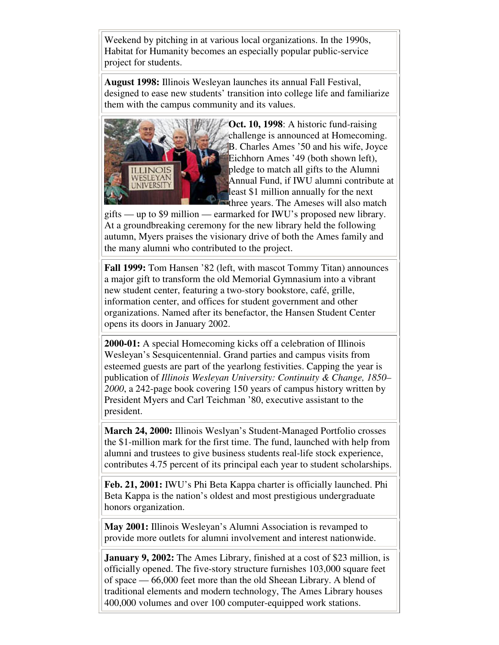Weekend by pitching in at various local organizations. In the 1990s, Habitat for Humanity becomes an especially popular public-service project for students.

**August 1998:** Illinois Wesleyan launches its annual Fall Festival, designed to ease new students' transition into college life and familiarize them with the campus community and its values.



**Oct. 10, 1998**: A historic fund-raising challenge is announced at Homecoming. B. Charles Ames '50 and his wife, Joyce Eichhorn Ames '49 (both shown left), pledge to match all gifts to the Alumni Annual Fund, if IWU alumni contribute at least \$1 million annually for the next three years. The Ameses will also match

gifts — up to \$9 million — earmarked for IWU's proposed new library. At a groundbreaking ceremony for the new library held the following autumn, Myers praises the visionary drive of both the Ames family and the many alumni who contributed to the project.

**Fall 1999:** Tom Hansen '82 (left, with mascot Tommy Titan) announces a major gift to transform the old Memorial Gymnasium into a vibrant new student center, featuring a two-story bookstore, café, grille, information center, and offices for student government and other organizations. Named after its benefactor, the Hansen Student Center opens its doors in January 2002.

**2000-01:** A special Homecoming kicks off a celebration of Illinois Wesleyan's Sesquicentennial. Grand parties and campus visits from esteemed guests are part of the yearlong festivities. Capping the year is publication of *Illinois Wesleyan University: Continuity & Change, 1850– 2000*, a 242-page book covering 150 years of campus history written by President Myers and Carl Teichman '80, executive assistant to the president.

**March 24, 2000:** Illinois Weslyan's Student-Managed Portfolio crosses the \$1-million mark for the first time. The fund, launched with help from alumni and trustees to give business students real-life stock experience, contributes 4.75 percent of its principal each year to student scholarships.

**Feb. 21, 2001:** IWU's Phi Beta Kappa charter is officially launched. Phi Beta Kappa is the nation's oldest and most prestigious undergraduate honors organization.

**May 2001:** Illinois Wesleyan's Alumni Association is revamped to provide more outlets for alumni involvement and interest nationwide.

**January 9, 2002:** The Ames Library, finished at a cost of \$23 million, is officially opened. The five-story structure furnishes 103,000 square feet of space — 66,000 feet more than the old Sheean Library. A blend of traditional elements and modern technology, The Ames Library houses 400,000 volumes and over 100 computer-equipped work stations.